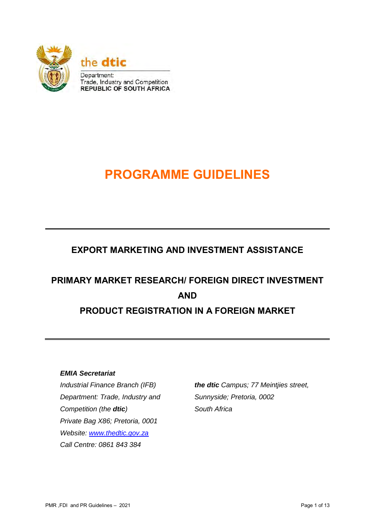

# **PROGRAMME GUIDELINES**

### **EXPORT MARKETING AND INVESTMENT ASSISTANCE**

## **PRIMARY MARKET RESEARCH/ FOREIGN DIRECT INVESTMENT AND PRODUCT REGISTRATION IN A FOREIGN MARKET**

#### *EMIA Secretariat*

*Industrial Finance Branch (IFB) Department: Trade, Industry and Competition (the dtic) Private Bag X86; Pretoria, 0001 Website: [www.thedtic.gov.za](http://www.thedtic.gov.za/) Call Centre: 0861 843 384* 

*the dtic Campus; 77 Meintjies street, Sunnyside; Pretoria, 0002 South Africa*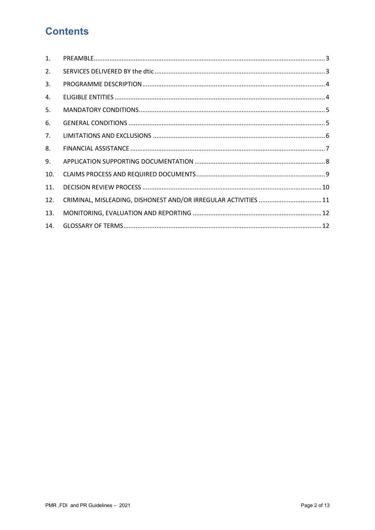### **Contents**

| $\mathbf{1}$ . |                                                                 |  |
|----------------|-----------------------------------------------------------------|--|
| 2.             |                                                                 |  |
| 3.             |                                                                 |  |
| 4.             |                                                                 |  |
| 5.             |                                                                 |  |
| 6.             |                                                                 |  |
| 7.             |                                                                 |  |
| 8.             |                                                                 |  |
| 9.             |                                                                 |  |
| 10.            |                                                                 |  |
| 11.            |                                                                 |  |
| 12.            | CRIMINAL, MISLEADING, DISHONEST AND/OR IRREGULAR ACTIVITIES  11 |  |
| 13.            |                                                                 |  |
| 14.            |                                                                 |  |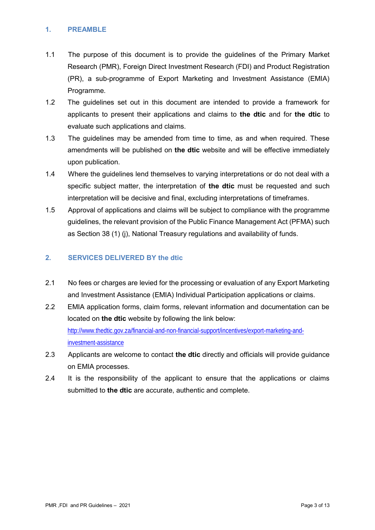#### <span id="page-2-0"></span>**1. PREAMBLE**

- 1.1 The purpose of this document is to provide the guidelines of the Primary Market Research (PMR), Foreign Direct Investment Research (FDI) and Product Registration (PR), a sub-programme of Export Marketing and Investment Assistance (EMIA) Programme.
- 1.2 The guidelines set out in this document are intended to provide a framework for applicants to present their applications and claims to **the dtic** and for **the dtic** to evaluate such applications and claims.
- 1.3 The guidelines may be amended from time to time, as and when required. These amendments will be published on **the dtic** website and will be effective immediately upon publication.
- 1.4 Where the guidelines lend themselves to varying interpretations or do not deal with a specific subject matter, the interpretation of **the dtic** must be requested and such interpretation will be decisive and final, excluding interpretations of timeframes.
- 1.5 Approval of applications and claims will be subject to compliance with the programme guidelines, the relevant provision of the Public Finance Management Act (PFMA) such as Section 38 (1) (j), National Treasury regulations and availability of funds.

#### <span id="page-2-1"></span>**2. SERVICES DELIVERED BY the dtic**

- 2.1 No fees or charges are levied for the processing or evaluation of any Export Marketing and Investment Assistance (EMIA) Individual Participation applications or claims.
- 2.2 EMIA application forms, claim forms, relevant information and documentation can be located on **the dtic** website by following the link below: [http://www.thedtic.gov.za/financial-and-non-financial-support/incentives/export-marketing-and](http://www.thedtic.gov.za/financial-and-non-financial-support/incentives/export-marketing-and-investment-assistance)[investment-assistance](http://www.thedtic.gov.za/financial-and-non-financial-support/incentives/export-marketing-and-investment-assistance)
- 2.3 Applicants are welcome to contact **the dtic** directly and officials will provide guidance on EMIA processes.
- 2.4 It is the responsibility of the applicant to ensure that the applications or claims submitted to **the dtic** are accurate, authentic and complete.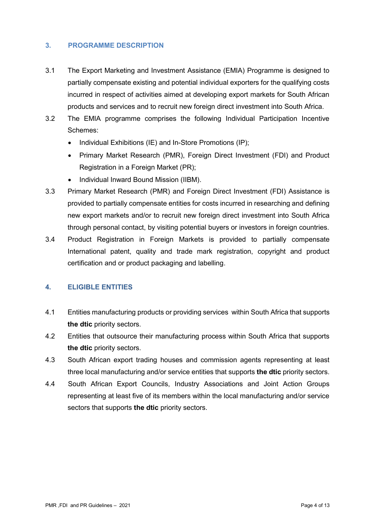#### <span id="page-3-0"></span>**3. PROGRAMME DESCRIPTION**

- 3.1 The Export Marketing and Investment Assistance (EMIA) Programme is designed to partially compensate existing and potential individual exporters for the qualifying costs incurred in respect of activities aimed at developing export markets for South African products and services and to recruit new foreign direct investment into South Africa.
- 3.2 The EMIA programme comprises the following Individual Participation Incentive Schemes:
	- Individual Exhibitions (IE) and In-Store Promotions (IP);
	- Primary Market Research (PMR), Foreign Direct Investment (FDI) and Product Registration in a Foreign Market (PR);
	- Individual Inward Bound Mission (IIBM).
- 3.3 Primary Market Research (PMR) and Foreign Direct Investment (FDI) Assistance is provided to partially compensate entities for costs incurred in researching and defining new export markets and/or to recruit new foreign direct investment into South Africa through personal contact, by visiting potential buyers or investors in foreign countries.
- 3.4 Product Registration in Foreign Markets is provided to partially compensate International patent, quality and trade mark registration, copyright and product certification and or product packaging and labelling.

#### <span id="page-3-1"></span>**4. ELIGIBLE ENTITIES**

- 4.1 Entities manufacturing products or providing services within South Africa that supports **the dtic** priority sectors.
- 4.2 Entities that outsource their manufacturing process within South Africa that supports **the dtic** priority sectors.
- 4.3 South African export trading houses and commission agents representing at least three local manufacturing and/or service entities that supports **the dtic** priority sectors.
- 4.4 South African Export Councils, Industry Associations and Joint Action Groups representing at least five of its members within the local manufacturing and/or service sectors that supports **the dtic** priority sectors.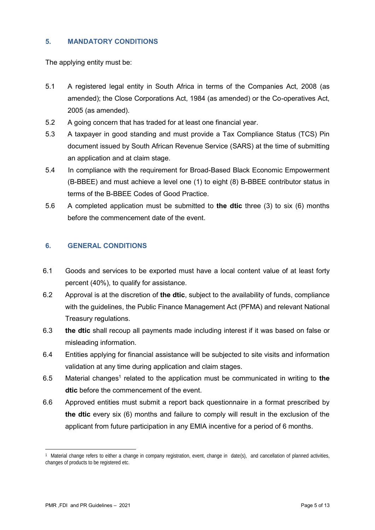#### <span id="page-4-0"></span>**5. MANDATORY CONDITIONS**

The applying entity must be:

- 5.1 A registered legal entity in South Africa in terms of the Companies Act, 2008 (as amended); the Close Corporations Act, 1984 (as amended) or the Co-operatives Act, 2005 (as amended).
- 5.2 A going concern that has traded for at least one financial year.
- 5.3 A taxpayer in good standing and must provide a Tax Compliance Status (TCS) Pin document issued by South African Revenue Service (SARS) at the time of submitting an application and at claim stage.
- 5.4 In compliance with the requirement for Broad-Based Black Economic Empowerment (B-BBEE) and must achieve a level one (1) to eight (8) B-BBEE contributor status in terms of the B-BBEE Codes of Good Practice.
- 5.6 A completed application must be submitted to **the dtic** three (3) to six (6) months before the commencement date of the event.

#### <span id="page-4-1"></span>**6. GENERAL CONDITIONS**

- 6.1 Goods and services to be exported must have a local content value of at least forty percent (40%), to qualify for assistance.
- 6.2 Approval is at the discretion of **the dtic**, subject to the availability of funds, compliance with the guidelines, the Public Finance Management Act (PFMA) and relevant National Treasury regulations.
- 6.3 **the dtic** shall recoup all payments made including interest if it was based on false or misleading information.
- 6.4 Entities applying for financial assistance will be subjected to site visits and information validation at any time during application and claim stages.
- 6.5 Material changes<sup>1</sup> related to the application must be communicated in writing to the **dtic** before the commencement of the event.
- 6.6 Approved entities must submit a report back questionnaire in a format prescribed by **the dtic** every six (6) months and failure to comply will result in the exclusion of the applicant from future participation in any EMIA incentive for a period of 6 months.

<sup>1</sup> 1 Material change refers to either a change in company registration, event, change in date(s), and cancellation of planned activities, changes of products to be registered etc.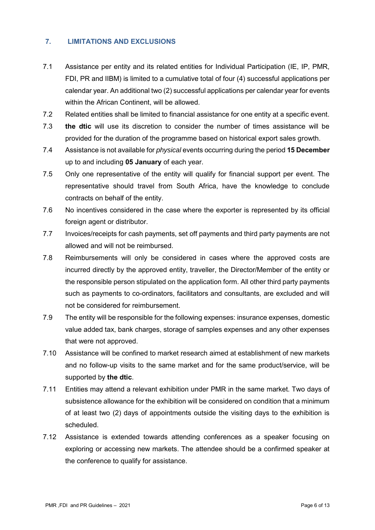#### <span id="page-5-0"></span>**7. LIMITATIONS AND EXCLUSIONS**

- 7.1 Assistance per entity and its related entities for Individual Participation (IE, IP, PMR, FDI, PR and IIBM) is limited to a cumulative total of four (4) successful applications per calendar year. An additional two (2) successful applications per calendar year for events within the African Continent, will be allowed.
- 7.2 Related entities shall be limited to financial assistance for one entity at a specific event.
- 7.3 **the dtic** will use its discretion to consider the number of times assistance will be provided for the duration of the programme based on historical export sales growth.
- 7.4 Assistance is not available for *physical* events occurring during the period **15 December** up to and including **05 January** of each year.
- 7.5 Only one representative of the entity will qualify for financial support per event. The representative should travel from South Africa, have the knowledge to conclude contracts on behalf of the entity.
- 7.6 No incentives considered in the case where the exporter is represented by its official foreign agent or distributor.
- 7.7 Invoices/receipts for cash payments, set off payments and third party payments are not allowed and will not be reimbursed.
- 7.8 Reimbursements will only be considered in cases where the approved costs are incurred directly by the approved entity, traveller, the Director/Member of the entity or the responsible person stipulated on the application form. All other third party payments such as payments to co-ordinators, facilitators and consultants, are excluded and will not be considered for reimbursement.
- 7.9 The entity will be responsible for the following expenses: insurance expenses, domestic value added tax, bank charges, storage of samples expenses and any other expenses that were not approved.
- 7.10 Assistance will be confined to market research aimed at establishment of new markets and no follow-up visits to the same market and for the same product/service, will be supported by **the dtic**.
- 7.11 Entities may attend a relevant exhibition under PMR in the same market. Two days of subsistence allowance for the exhibition will be considered on condition that a minimum of at least two (2) days of appointments outside the visiting days to the exhibition is scheduled.
- 7.12 Assistance is extended towards attending conferences as a speaker focusing on exploring or accessing new markets. The attendee should be a confirmed speaker at the conference to qualify for assistance.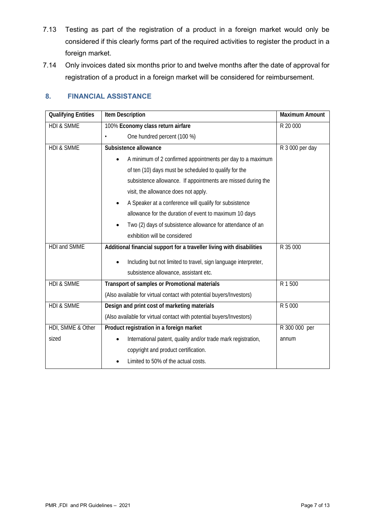- 7.13 Testing as part of the registration of a product in a foreign market would only be considered if this clearly forms part of the required activities to register the product in a foreign market.
- 7.14 Only invoices dated six months prior to and twelve months after the date of approval for registration of a product in a foreign market will be considered for reimbursement.

#### <span id="page-6-0"></span>**8. FINANCIAL ASSISTANCE**

| <b>Qualifying Entities</b> | <b>Item Description</b>                                                 | Maximum Amount  |
|----------------------------|-------------------------------------------------------------------------|-----------------|
| <b>HDI &amp; SMME</b>      | 100% Economy class return airfare                                       | R 20 000        |
|                            | One hundred percent (100 %)                                             |                 |
| <b>HDI &amp; SMME</b>      | Subsistence allowance                                                   | R 3 000 per day |
|                            | A minimum of 2 confirmed appointments per day to a maximum<br>$\bullet$ |                 |
|                            | of ten (10) days must be scheduled to qualify for the                   |                 |
|                            | subsistence allowance. If appointments are missed during the            |                 |
|                            | visit, the allowance does not apply.                                    |                 |
|                            | A Speaker at a conference will qualify for subsistence                  |                 |
|                            | allowance for the duration of event to maximum 10 days                  |                 |
|                            | Two (2) days of subsistence allowance for attendance of an              |                 |
|                            | exhibition will be considered                                           |                 |
| <b>HDI and SMME</b>        | Additional financial support for a traveller living with disabilities   | R 35 000        |
|                            | Including but not limited to travel, sign language interpreter,         |                 |
|                            | subsistence allowance, assistant etc.                                   |                 |
| <b>HDI &amp; SMME</b>      | Transport of samples or Promotional materials                           | R 1 500         |
|                            | (Also available for virtual contact with potential buyers/Investors)    |                 |
| <b>HDI &amp; SMME</b>      | Design and print cost of marketing materials                            | R 5 000         |
|                            | (Also available for virtual contact with potential buyers/Investors)    |                 |
| HDI, SMME & Other          | Product registration in a foreign market                                | R 300 000 per   |
| sized                      | International patent, quality and/or trade mark registration,           | annum           |
|                            | copyright and product certification.                                    |                 |
|                            | Limited to 50% of the actual costs.                                     |                 |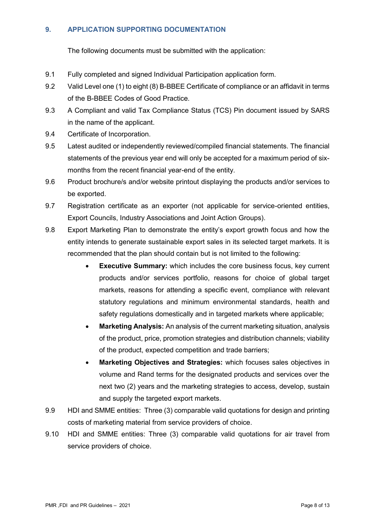#### <span id="page-7-0"></span>**9. APPLICATION SUPPORTING DOCUMENTATION**

The following documents must be submitted with the application:

- 9.1 Fully completed and signed Individual Participation application form.
- 9.2 Valid Level one (1) to eight (8) B-BBEE Certificate of compliance or an affidavit in terms of the B-BBEE Codes of Good Practice.
- 9.3 A Compliant and valid Tax Compliance Status (TCS) Pin document issued by SARS in the name of the applicant.
- 9.4 Certificate of Incorporation.
- 9.5 Latest audited or independently reviewed/compiled financial statements. The financial statements of the previous year end will only be accepted for a maximum period of sixmonths from the recent financial year-end of the entity.
- 9.6 Product brochure/s and/or website printout displaying the products and/or services to be exported.
- 9.7 Registration certificate as an exporter (not applicable for service-oriented entities, Export Councils, Industry Associations and Joint Action Groups).
- 9.8 Export Marketing Plan to demonstrate the entity's export growth focus and how the entity intends to generate sustainable export sales in its selected target markets. It is recommended that the plan should contain but is not limited to the following:
	- **Executive Summary:** which includes the core business focus, key current products and/or services portfolio, reasons for choice of global target markets, reasons for attending a specific event, compliance with relevant statutory regulations and minimum environmental standards, health and safety regulations domestically and in targeted markets where applicable;
	- **Marketing Analysis:** An analysis of the current marketing situation, analysis of the product, price, promotion strategies and distribution channels; viability of the product, expected competition and trade barriers;
	- **Marketing Objectives and Strategies:** which focuses sales objectives in volume and Rand terms for the designated products and services over the next two (2) years and the marketing strategies to access, develop, sustain and supply the targeted export markets.
- 9.9 HDI and SMME entities: Three (3) comparable valid quotations for design and printing costs of marketing material from service providers of choice.
- 9.10 HDI and SMME entities: Three (3) comparable valid quotations for air travel from service providers of choice.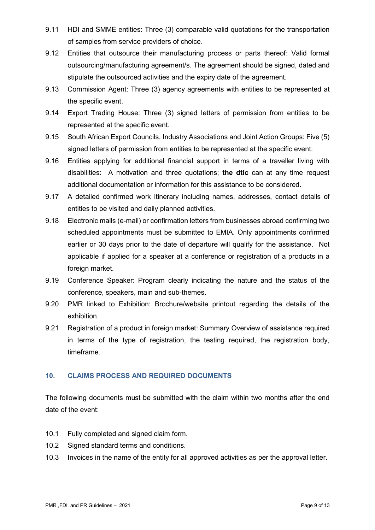- 9.11 HDI and SMME entities: Three (3) comparable valid quotations for the transportation of samples from service providers of choice.
- 9.12 Entities that outsource their manufacturing process or parts thereof: Valid formal outsourcing/manufacturing agreement/s. The agreement should be signed, dated and stipulate the outsourced activities and the expiry date of the agreement.
- 9.13 Commission Agent: Three (3) agency agreements with entities to be represented at the specific event.
- 9.14 Export Trading House: Three (3) signed letters of permission from entities to be represented at the specific event.
- 9.15 South African Export Councils, Industry Associations and Joint Action Groups: Five (5) signed letters of permission from entities to be represented at the specific event.
- 9.16 Entities applying for additional financial support in terms of a traveller living with disabilities: A motivation and three quotations; **the dtic** can at any time request additional documentation or information for this assistance to be considered.
- 9.17 A detailed confirmed work itinerary including names, addresses, contact details of entities to be visited and daily planned activities.
- 9.18 Electronic mails (e-mail) or confirmation letters from businesses abroad confirming two scheduled appointments must be submitted to EMIA. Only appointments confirmed earlier or 30 days prior to the date of departure will qualify for the assistance. Not applicable if applied for a speaker at a conference or registration of a products in a foreign market.
- 9.19 Conference Speaker: Program clearly indicating the nature and the status of the conference, speakers, main and sub-themes.
- 9.20 PMR linked to Exhibition: Brochure/website printout regarding the details of the exhibition.
- 9.21 Registration of a product in foreign market: Summary Overview of assistance required in terms of the type of registration, the testing required, the registration body, timeframe.

#### <span id="page-8-0"></span>**10. CLAIMS PROCESS AND REQUIRED DOCUMENTS**

The following documents must be submitted with the claim within two months after the end date of the event:

- 10.1 Fully completed and signed claim form.
- 10.2 Signed standard terms and conditions.
- 10.3 Invoices in the name of the entity for all approved activities as per the approval letter.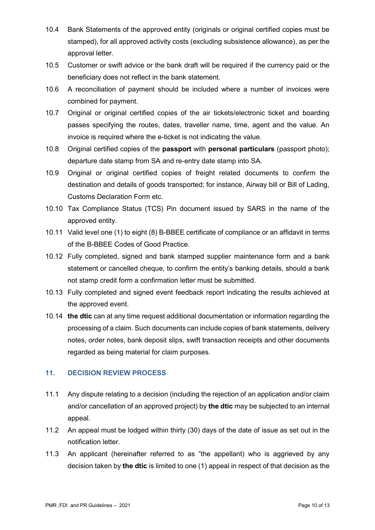- 10.4 Bank Statements of the approved entity (originals or original certified copies must be stamped), for all approved activity costs (excluding subsistence allowance), as per the approval letter.
- 10.5 Customer or swift advice or the bank draft will be required if the currency paid or the beneficiary does not reflect in the bank statement.
- 10.6 A reconciliation of payment should be included where a number of invoices were combined for payment.
- 10.7 Original or original certified copies of the air tickets/electronic ticket and boarding passes specifying the routes, dates, traveller name, time, agent and the value. An invoice is required where the e-ticket is not indicating the value.
- 10.8 Original certified copies of the **passport** with **personal particulars** (passport photo); departure date stamp from SA and re-entry date stamp into SA.
- 10.9 Original or original certified copies of freight related documents to confirm the destination and details of goods transported; for instance, Airway bill or Bill of Lading, Customs Declaration Form etc.
- 10.10 Tax Compliance Status (TCS) Pin document issued by SARS in the name of the approved entity.
- 10.11 Valid level one (1) to eight (8) B-BBEE certificate of compliance or an affidavit in terms of the B-BBEE Codes of Good Practice.
- 10.12 Fully completed, signed and bank stamped supplier maintenance form and a bank statement or cancelled cheque, to confirm the entity's banking details, should a bank not stamp credit form a confirmation letter must be submitted.
- 10.13 Fully completed and signed event feedback report indicating the results achieved at the approved event.
- 10.14 **the dtic** can at any time request additional documentation or information regarding the processing of a claim. Such documents can include copies of bank statements, delivery notes, order notes, bank deposit slips, swift transaction receipts and other documents regarded as being material for claim purposes.

#### <span id="page-9-0"></span>**11. DECISION REVIEW PROCESS**

- 11.1 Any dispute relating to a decision (including the rejection of an application and/or claim and/or cancellation of an approved project) by **the dtic** may be subjected to an internal appeal.
- 11.2 An appeal must be lodged within thirty (30) days of the date of issue as set out in the notification letter.
- 11.3 An applicant (hereinafter referred to as "the appellant) who is aggrieved by any decision taken by **the dtic** is limited to one (1) appeal in respect of that decision as the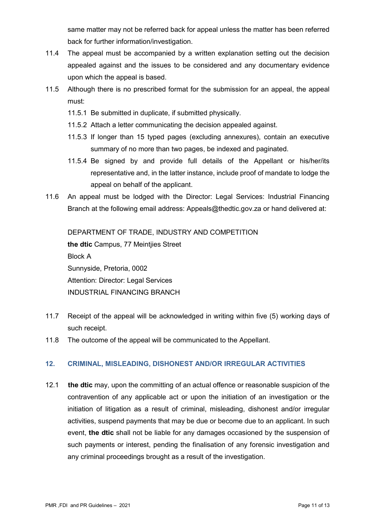same matter may not be referred back for appeal unless the matter has been referred back for further information/investigation.

- 11.4 The appeal must be accompanied by a written explanation setting out the decision appealed against and the issues to be considered and any documentary evidence upon which the appeal is based.
- 11.5 Although there is no prescribed format for the submission for an appeal, the appeal must:
	- 11.5.1 Be submitted in duplicate, if submitted physically.
	- 11.5.2 Attach a letter communicating the decision appealed against.
	- 11.5.3 If longer than 15 typed pages (excluding annexures), contain an executive summary of no more than two pages, be indexed and paginated.
	- 11.5.4 Be signed by and provide full details of the Appellant or his/her/its representative and, in the latter instance, include proof of mandate to lodge the appeal on behalf of the applicant.
- 11.6 An appeal must be lodged with the Director: Legal Services: Industrial Financing Branch at the following email address: Appeals@thedtic.gov.za or hand delivered at:

DEPARTMENT OF TRADE, INDUSTRY AND COMPETITION **the dtic** Campus, 77 Meintjies Street Block A Sunnyside, Pretoria, 0002 Attention: Director: Legal Services INDUSTRIAL FINANCING BRANCH

- 11.7 Receipt of the appeal will be acknowledged in writing within five (5) working days of such receipt.
- 11.8 The outcome of the appeal will be communicated to the Appellant.

#### <span id="page-10-0"></span>**12. CRIMINAL, MISLEADING, DISHONEST AND/OR IRREGULAR ACTIVITIES**

12.1 **the dtic** may, upon the committing of an actual offence or reasonable suspicion of the contravention of any applicable act or upon the initiation of an investigation or the initiation of litigation as a result of criminal, misleading, dishonest and/or irregular activities, suspend payments that may be due or become due to an applicant. In such event, **the dtic** shall not be liable for any damages occasioned by the suspension of such payments or interest, pending the finalisation of any forensic investigation and any criminal proceedings brought as a result of the investigation.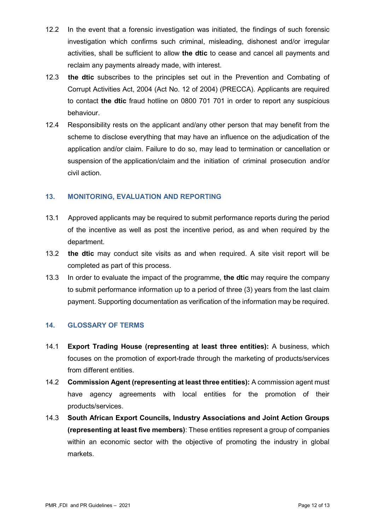- 12.2 In the event that a forensic investigation was initiated, the findings of such forensic investigation which confirms such criminal, misleading, dishonest and/or irregular activities, shall be sufficient to allow **the dtic** to cease and cancel all payments and reclaim any payments already made, with interest.
- 12.3 **the dtic** subscribes to the principles set out in the Prevention and Combating of Corrupt Activities Act, 2004 (Act No. 12 of 2004) (PRECCA). Applicants are required to contact **the dtic** fraud hotline on 0800 701 701 in order to report any suspicious behaviour.
- 12.4 Responsibility rests on the applicant and/any other person that may benefit from the scheme to disclose everything that may have an influence on the adjudication of the application and/or claim. Failure to do so, may lead to termination or cancellation or suspension of the application/claim and the initiation of criminal prosecution and/or civil action.

#### <span id="page-11-0"></span>**13. MONITORING, EVALUATION AND REPORTING**

- 13.1 Approved applicants may be required to submit performance reports during the period of the incentive as well as post the incentive period, as and when required by the department.
- 13.2 **the dtic** may conduct site visits as and when required. A site visit report will be completed as part of this process.
- 13.3 In order to evaluate the impact of the programme, **the dtic** may require the company to submit performance information up to a period of three (3) years from the last claim payment. Supporting documentation as verification of the information may be required.

#### <span id="page-11-1"></span>**14. GLOSSARY OF TERMS**

- 14.1 **Export Trading House (representing at least three entities):** A business, which focuses on the promotion of export-trade through the marketing of products/services from different entities.
- 14.2 **Commission Agent (representing at least three entities):** A commission agent must have agency agreements with local entities for the promotion of their products/services.
- 14.3 **South African Export Councils, Industry Associations and Joint Action Groups (representing at least five members)**: These entities represent a group of companies within an economic sector with the objective of promoting the industry in global markets.